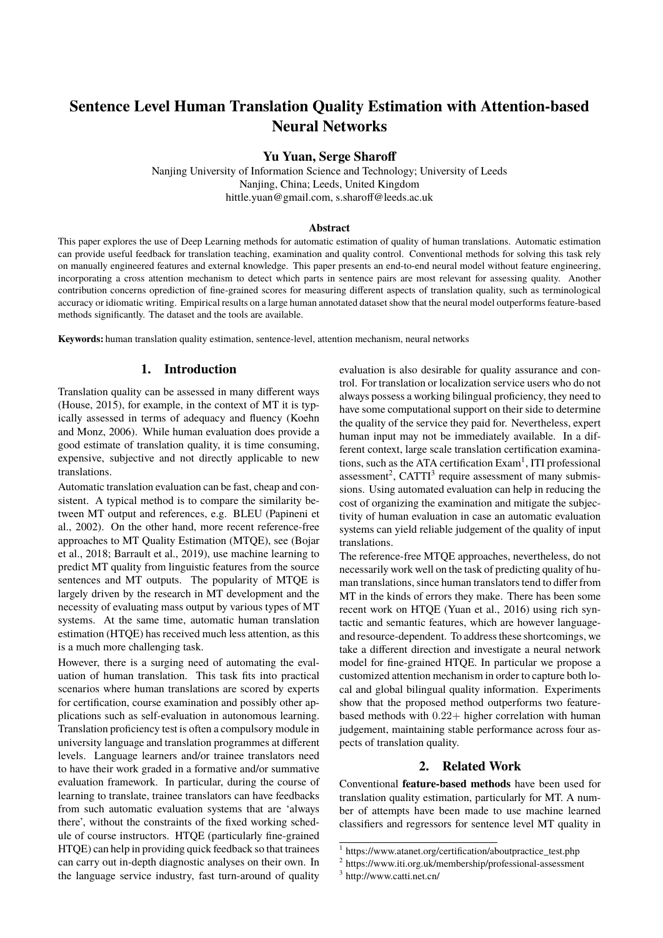# **Sentence Level Human Translation Quality Estimation with Attention-based Neural Networks**

## **Yu Yuan, Serge Sharoff**

Nanjing University of Information Science and Technology; University of Leeds Nanjing, China; Leeds, United Kingdom hittle.yuan@gmail.com, s.sharoff@leeds.ac.uk

#### **Abstract**

This paper explores the use of Deep Learning methods for automatic estimation of quality of human translations. Automatic estimation can provide useful feedback for translation teaching, examination and quality control. Conventional methods for solving this task rely on manually engineered features and external knowledge. This paper presents an end-to-end neural model without feature engineering, incorporating a cross attention mechanism to detect which parts in sentence pairs are most relevant for assessing quality. Another contribution concerns oprediction of fine-grained scores for measuring different aspects of translation quality, such as terminological accuracy or idiomatic writing. Empirical results on a large human annotated dataset show that the neural model outperforms feature-based methods significantly. The dataset and the tools are available.

**Keywords:** human translation quality estimation, sentence-level, attention mechanism, neural networks

# **1. Introduction**

Translation quality can be assessed in many different ways (House, 2015), for example, in the context of MT it is typically assessed in terms of adequacy and fluency (Koehn and Monz, 2006). While human evaluation does provide a good estimate of translation quality, it is time consuming, expensive, subjective and not directly applicable to new translations.

Automatic translation evaluation can be fast, cheap and consistent. A typical method is to compare the similarity between MT output and references, e.g. BLEU (Papineni et al., 2002). On the other hand, more recent reference-free approaches to MT Quality Estimation (MTQE), see (Bojar et al., 2018; Barrault et al., 2019), use machine learning to predict MT quality from linguistic features from the source sentences and MT outputs. The popularity of MTQE is largely driven by the research in MT development and the necessity of evaluating mass output by various types of MT systems. At the same time, automatic human translation estimation (HTQE) has received much less attention, as this is a much more challenging task.

However, there is a surging need of automating the evaluation of human translation. This task fits into practical scenarios where human translations are scored by experts for certification, course examination and possibly other applications such as self-evaluation in autonomous learning. Translation proficiency test is often a compulsory module in university language and translation programmes at different levels. Language learners and/or trainee translators need to have their work graded in a formative and/or summative evaluation framework. In particular, during the course of learning to translate, trainee translators can have feedbacks from such automatic evaluation systems that are 'always there', without the constraints of the fixed working schedule of course instructors. HTQE (particularly fine-grained HTQE) can help in providing quick feedback so that trainees can carry out in-depth diagnostic analyses on their own. In the language service industry, fast turn-around of quality

evaluation is also desirable for quality assurance and control. For translation or localization service users who do not always possess a working bilingual proficiency, they need to have some computational support on their side to determine the quality of the service they paid for. Nevertheless, expert human input may not be immediately available. In a different context, large scale translation certification examinations, such as the ATA certification Exam<sup>1</sup>, ITI professional assessment<sup>2</sup>, CATTI<sup>3</sup> require assessment of many submissions. Using automated evaluation can help in reducing the cost of organizing the examination and mitigate the subjectivity of human evaluation in case an automatic evaluation systems can yield reliable judgement of the quality of input translations.

The reference-free MTQE approaches, nevertheless, do not necessarily work well on the task of predicting quality of human translations, since human translators tend to differ from MT in the kinds of errors they make. There has been some recent work on HTQE (Yuan et al., 2016) using rich syntactic and semantic features, which are however languageand resource-dependent. To address these shortcomings, we take a different direction and investigate a neural network model for fine-grained HTQE. In particular we propose a customized attention mechanism in order to capture both local and global bilingual quality information. Experiments show that the proposed method outperforms two featurebased methods with 0.22+ higher correlation with human judgement, maintaining stable performance across four aspects of translation quality.

## **2. Related Work**

Conventional **feature-based methods** have been used for translation quality estimation, particularly for MT. A number of attempts have been made to use machine learned classifiers and regressors for sentence level MT quality in

<sup>1</sup> https://www.atanet.org/certification/aboutpractice\_test.php

<sup>2</sup> https://www.iti.org.uk/membership/professional-assessment

<sup>3</sup> http://www.catti.net.cn/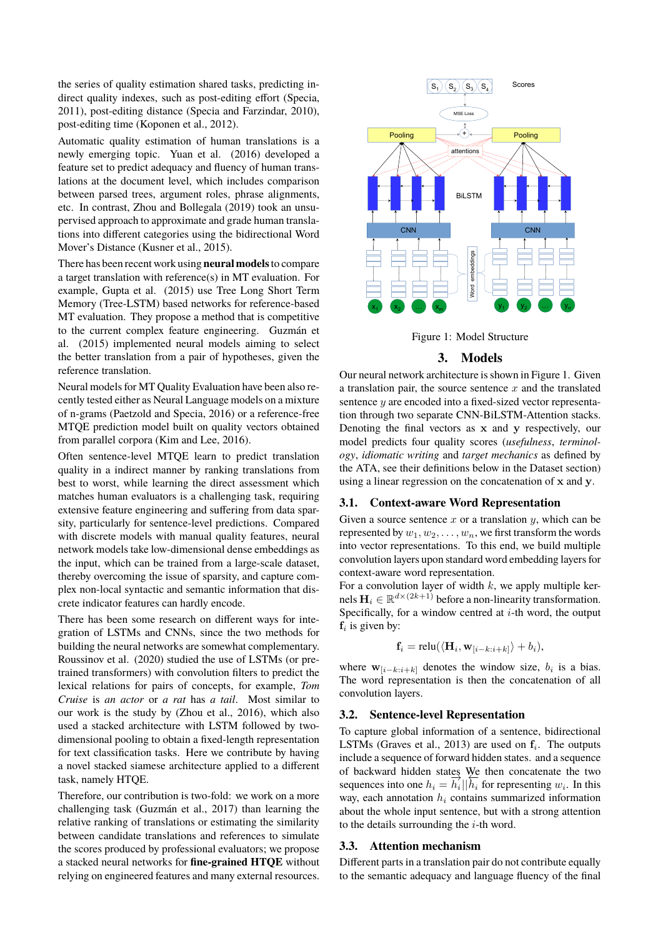the series of quality estimation shared tasks, predicting indirect quality indexes, such as post-editing effort (Specia, 2011), post-editing distance (Specia and Farzindar, 2010), post-editing time (Koponen et al., 2012).

Automatic quality estimation of human translations is a newly emerging topic. Yuan et al. (2016) developed a feature set to predict adequacy and fluency of human translations at the document level, which includes comparison between parsed trees, argument roles, phrase alignments, etc. In contrast, Zhou and Bollegala (2019) took an unsupervised approach to approximate and grade human translations into different categories using the bidirectional Word Mover's Distance (Kusner et al., 2015).

There has been recent work using **neural models**to compare a target translation with reference(s) in MT evaluation. For example, Gupta et al. (2015) use Tree Long Short Term Memory (Tree-LSTM) based networks for reference-based MT evaluation. They propose a method that is competitive to the current complex feature engineering. Guzmán et al. (2015) implemented neural models aiming to select the better translation from a pair of hypotheses, given the reference translation.

Neural models for MT Quality Evaluation have been also recently tested either as Neural Language models on a mixture of n-grams (Paetzold and Specia, 2016) or a reference-free MTQE prediction model built on quality vectors obtained from parallel corpora (Kim and Lee, 2016).

Often sentence-level MTQE learn to predict translation quality in a indirect manner by ranking translations from best to worst, while learning the direct assessment which matches human evaluators is a challenging task, requiring extensive feature engineering and suffering from data sparsity, particularly for sentence-level predictions. Compared with discrete models with manual quality features, neural network models take low-dimensional dense embeddings as the input, which can be trained from a large-scale dataset, thereby overcoming the issue of sparsity, and capture complex non-local syntactic and semantic information that discrete indicator features can hardly encode.

There has been some research on different ways for integration of LSTMs and CNNs, since the two methods for building the neural networks are somewhat complementary. Roussinov et al. (2020) studied the use of LSTMs (or pretrained transformers) with convolution filters to predict the lexical relations for pairs of concepts, for example, *Tom Cruise* is *an actor* or *a rat* has *a tail*. Most similar to our work is the study by (Zhou et al., 2016), which also used a stacked architecture with LSTM followed by twodimensional pooling to obtain a fixed-length representation for text classification tasks. Here we contribute by having a novel stacked siamese architecture applied to a different task, namely HTQE.

Therefore, our contribution is two-fold: we work on a more challenging task (Guzmán et al., 2017) than learning the relative ranking of translations or estimating the similarity between candidate translations and references to simulate the scores produced by professional evaluators; we propose a stacked neural networks for **fine-grained HTQE** without relying on engineered features and many external resources.



Figure 1: Model Structure

# **3. Models**

Our neural network architecture is shown in Figure 1. Given a translation pair, the source sentence  $x$  and the translated sentence y are encoded into a fixed-sized vector representation through two separate CNN-BiLSTM-Attention stacks. Denoting the final vectors as x and y respectively, our model predicts four quality scores (*usefulness*, *terminology*, *idiomatic writing* and *target mechanics* as defined by the ATA, see their definitions below in the Dataset section) using a linear regression on the concatenation of x and y.

#### **3.1. Context-aware Word Representation**

Given a source sentence x or a translation  $y$ , which can be represented by  $w_1, w_2, \ldots, w_n$ , we first transform the words into vector representations. To this end, we build multiple convolution layers upon standard word embedding layers for context-aware word representation.

For a convolution layer of width  $k$ , we apply multiple kernels  $\mathbf{H}_i \in \mathbb{R}^{d \times (2k+1)}$  before a non-linearity transformation. Specifically, for a window centred at  $i$ -th word, the output  $f_i$  is given by:

$$
\mathbf{f}_i = \text{relu}(\langle \mathbf{H}_i, \mathbf{w}_{[i-k:i+k]} \rangle + b_i),
$$

where  $w_{[i-k:i+k]}$  denotes the window size,  $b_i$  is a bias. The word representation is then the concatenation of all convolution layers.

#### **3.2. Sentence-level Representation**

To capture global information of a sentence, bidirectional LSTMs (Graves et al., 2013) are used on  $f_i$ . The outputs include a sequence of forward hidden states. and a sequence of backward hidden states We then concatenate the two sequences into one  $h_i = \overline{h_i} || \overline{h_i}$  for representing  $w_i$ . In this way, each annotation  $h_i$  contains summarized information about the whole input sentence, but with a strong attention to the details surrounding the  $i$ -th word.

#### **3.3. Attention mechanism**

Different parts in a translation pair do not contribute equally to the semantic adequacy and language fluency of the final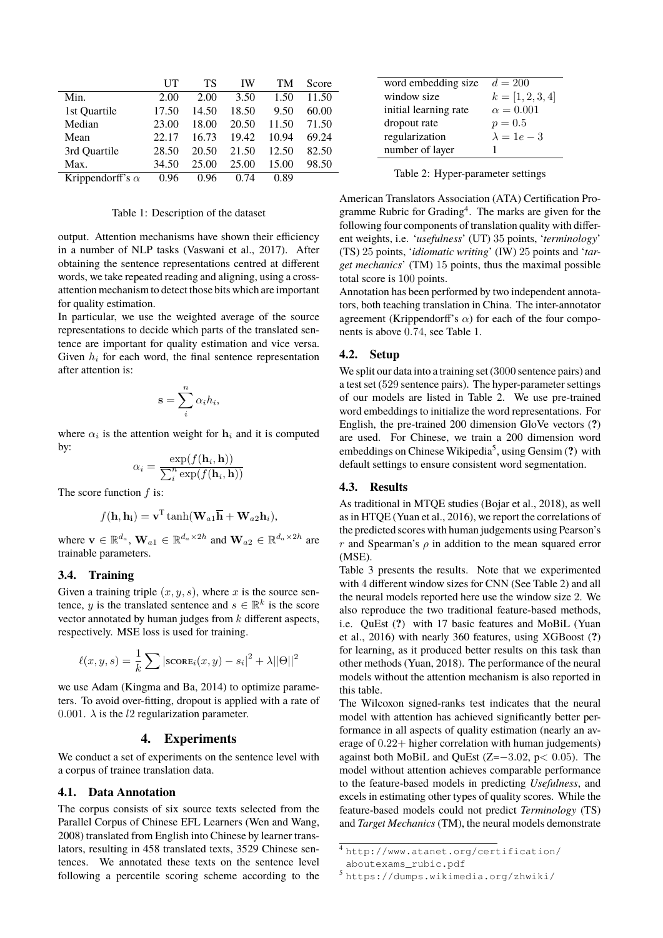|                         | UT    | TS    | IW    | TМ    | Score |
|-------------------------|-------|-------|-------|-------|-------|
| Min.                    | 2.00  | 2.00  | 3.50  | 1.50  | 11.50 |
| 1st Quartile            | 17.50 | 14.50 | 18.50 | 9.50  | 60.00 |
| Median                  | 23.00 | 18.00 | 20.50 | 11.50 | 71.50 |
| Mean                    | 22.17 | 16.73 | 19.42 | 10.94 | 69.24 |
| 3rd Quartile            | 28.50 | 20.50 | 21.50 | 12.50 | 82.50 |
| Max.                    | 34.50 | 25.00 | 25.00 | 15.00 | 98.50 |
| Krippendorff's $\alpha$ | 0.96  | 0.96  | 0.74  | 0.89  |       |

#### Table 1: Description of the dataset

output. Attention mechanisms have shown their efficiency in a number of NLP tasks (Vaswani et al., 2017). After obtaining the sentence representations centred at different words, we take repeated reading and aligning, using a crossattention mechanism to detect those bits which are important for quality estimation.

In particular, we use the weighted average of the source representations to decide which parts of the translated sentence are important for quality estimation and vice versa. Given  $h_i$  for each word, the final sentence representation after attention is:

$$
\mathbf{s} = \sum_{i}^{n} \alpha_i h_i,
$$

where  $\alpha_i$  is the attention weight for  $h_i$  and it is computed by:

$$
\alpha_i = \frac{\exp(f(\mathbf{h}_i, \mathbf{h}))}{\sum_i^n \exp(f(\mathbf{h}_i, \mathbf{h}))}
$$

The score function  $f$  is:

$$
f(\mathbf{h}, \mathbf{h_i}) = \mathbf{v}^{\mathrm{T}} \tanh(\mathbf{W}_{a1} \overline{\mathbf{h}} + \mathbf{W}_{a2} \mathbf{h}_i),
$$

where  $\mathbf{v} \in \mathbb{R}^{d_a}$ ,  $\mathbf{W}_{a1} \in \mathbb{R}^{d_a \times 2h}$  and  $\mathbf{W}_{a2} \in \mathbb{R}^{d_a \times 2h}$  are trainable parameters.

#### **3.4. Training**

Given a training triple  $(x, y, s)$ , where x is the source sentence, y is the translated sentence and  $s \in \mathbb{R}^k$  is the score vector annotated by human judges from  $k$  different aspects, respectively. MSE loss is used for training.

$$
\ell(x, y, s) = \frac{1}{k} \sum |\text{score}_i(x, y) - s_i|^2 + \lambda ||\Theta||^2
$$

we use Adam (Kingma and Ba, 2014) to optimize parameters. To avoid over-fitting, dropout is applied with a rate of 0.001.  $\lambda$  is the *l*2 regularization parameter.

#### **4. Experiments**

We conduct a set of experiments on the sentence level with a corpus of trainee translation data.

#### **4.1. Data Annotation**

The corpus consists of six source texts selected from the Parallel Corpus of Chinese EFL Learners (Wen and Wang, 2008) translated from English into Chinese by learner translators, resulting in 458 translated texts, 3529 Chinese sentences. We annotated these texts on the sentence level following a percentile scoring scheme according to the

| word embedding size   | $d = 200$          |  |  |
|-----------------------|--------------------|--|--|
| window size           | $k = [1, 2, 3, 4]$ |  |  |
| initial learning rate | $\alpha = 0.001$   |  |  |
| dropout rate          | $p = 0.5$          |  |  |
| regularization        | $\lambda = 1e - 3$ |  |  |
| number of layer       |                    |  |  |

Table 2: Hyper-parameter settings

American Translators Association (ATA) Certification Programme Rubric for Grading<sup>4</sup>. The marks are given for the following four components of translation quality with different weights, i.e. '*usefulness*' (UT) 35 points, '*terminology*' (TS) 25 points, '*idiomatic writing*' (IW) 25 points and '*target mechanics*' (TM) 15 points, thus the maximal possible total score is 100 points.

Annotation has been performed by two independent annotators, both teaching translation in China. The inter-annotator agreement (Krippendorff's  $\alpha$ ) for each of the four components is above 0.74, see Table 1.

#### **4.2. Setup**

We split our data into a training set (3000 sentence pairs) and a test set (529 sentence pairs). The hyper-parameter settings of our models are listed in Table 2. We use pre-trained word embeddings to initialize the word representations. For English, the pre-trained 200 dimension GloVe vectors (**?**) are used. For Chinese, we train a 200 dimension word embeddings on Chinese Wikipedia<sup>5</sup>, using Gensim (?) with default settings to ensure consistent word segmentation.

#### **4.3. Results**

As traditional in MTQE studies (Bojar et al., 2018), as well as in HTQE (Yuan et al., 2016), we report the correlations of the predicted scores with human judgements using Pearson's r and Spearman's  $\rho$  in addition to the mean squared error (MSE).

Table 3 presents the results. Note that we experimented with 4 different window sizes for CNN (See Table 2) and all the neural models reported here use the window size 2. We also reproduce the two traditional feature-based methods, i.e. QuEst (**?**) with 17 basic features and MoBiL (Yuan et al., 2016) with nearly 360 features, using XGBoost (**?**) for learning, as it produced better results on this task than other methods (Yuan, 2018). The performance of the neural models without the attention mechanism is also reported in this table.

The Wilcoxon signed-ranks test indicates that the neural model with attention has achieved significantly better performance in all aspects of quality estimation (nearly an average of 0.22+ higher correlation with human judgements) against both MoBiL and QuEst (Z=−3.02, p< 0.05). The model without attention achieves comparable performance to the feature-based models in predicting *Usefulness*, and excels in estimating other types of quality scores. While the feature-based models could not predict *Terminology* (TS) and *Target Mechanics* (TM), the neural models demonstrate

<sup>4</sup> http://www.atanet.org/certification/ aboutexams\_rubic.pdf

<sup>5</sup> https://dumps.wikimedia.org/zhwiki/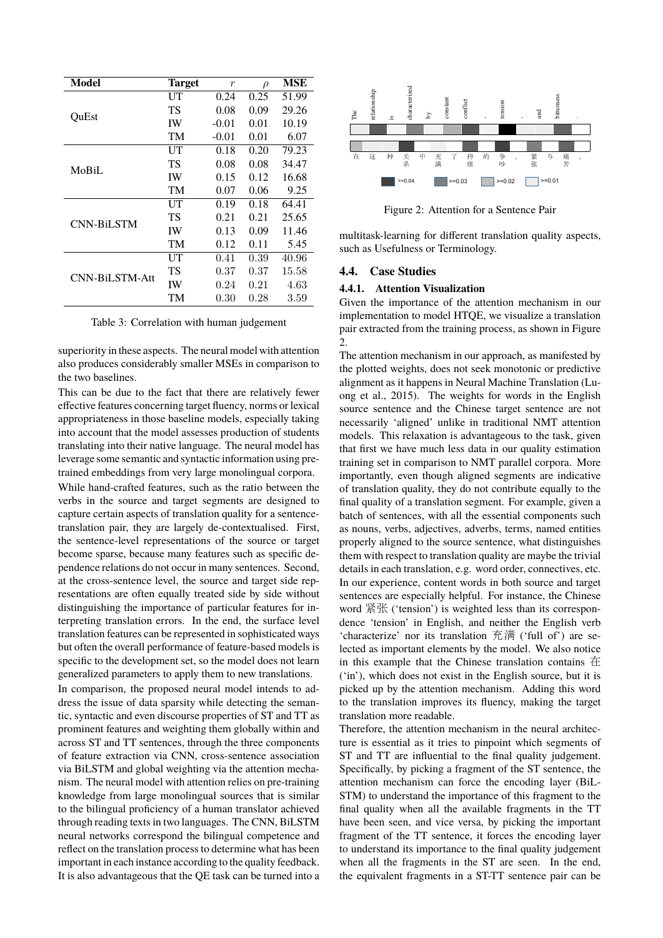| Model                 | <b>Target</b> | $\boldsymbol{r}$ | $\rho$ | MSE   |
|-----------------------|---------------|------------------|--------|-------|
| OuEst                 | UT            | 0.24             | 0.25   | 51.99 |
|                       | TS            | 0.08             | 0.09   | 29.26 |
|                       | IW            | $-0.01$          | 0.01   | 10.19 |
|                       | TM            | $-0.01$          | 0.01   | 6.07  |
| MoBiL                 | UT            | 0.18             | 0.20   | 79.23 |
|                       | TS            | 0.08             | 0.08   | 34.47 |
|                       | IW            | 0.15             | 0.12   | 16.68 |
|                       | TM            | 0.07             | 0.06   | 9.25  |
| <b>CNN-BiLSTM</b>     | UT            | 0.19             | 0.18   | 64.41 |
|                       | TS            | 0.21             | 0.21   | 25.65 |
|                       | <b>IW</b>     | 0.13             | 0.09   | 11.46 |
|                       | TM            | 0.12             | 0.11   | 5.45  |
| <b>CNN-BiLSTM-Att</b> | UT            | 0.41             | 0.39   | 40.96 |
|                       | TS            | 0.37             | 0.37   | 15.58 |
|                       | IW            | 0.24             | 0.21   | 4.63  |
|                       | TM            | 0.30             | 0.28   | 3.59  |

Table 3: Correlation with human judgement

superiority in these aspects. The neural model with attention also produces considerably smaller MSEs in comparison to the two baselines.

This can be due to the fact that there are relatively fewer effective features concerning target fluency, norms or lexical appropriateness in those baseline models, especially taking into account that the model assesses production of students translating into their native language. The neural model has leverage some semantic and syntactic information using pretrained embeddings from very large monolingual corpora.

While hand-crafted features, such as the ratio between the verbs in the source and target segments are designed to capture certain aspects of translation quality for a sentencetranslation pair, they are largely de-contextualised. First, the sentence-level representations of the source or target become sparse, because many features such as specific dependence relations do not occur in many sentences. Second, at the cross-sentence level, the source and target side representations are often equally treated side by side without distinguishing the importance of particular features for interpreting translation errors. In the end, the surface level translation features can be represented in sophisticated ways but often the overall performance of feature-based models is specific to the development set, so the model does not learn generalized parameters to apply them to new translations.

In comparison, the proposed neural model intends to address the issue of data sparsity while detecting the semantic, syntactic and even discourse properties of ST and TT as prominent features and weighting them globally within and across ST and TT sentences, through the three components of feature extraction via CNN, cross-sentence association via BiLSTM and global weighting via the attention mechanism. The neural model with attention relies on pre-training knowledge from large monolingual sources that is similar to the bilingual proficiency of a human translator achieved through reading texts in two languages. The CNN, BiLSTM neural networks correspond the bilingual competence and reflect on the translation process to determine what has been important in each instance according to the quality feedback. It is also advantageous that the QE task can be turned into a



Figure 2: Attention for a Sentence Pair

multitask-learning for different translation quality aspects, such as Usefulness or Terminology.

#### **4.4. Case Studies**

#### **4.4.1. Attention Visualization**

Given the importance of the attention mechanism in our implementation to model HTQE, we visualize a translation pair extracted from the training process, as shown in Figure 2.

The attention mechanism in our approach, as manifested by the plotted weights, does not seek monotonic or predictive alignment as it happens in Neural Machine Translation (Luong et al., 2015). The weights for words in the English source sentence and the Chinese target sentence are not necessarily 'aligned' unlike in traditional NMT attention models. This relaxation is advantageous to the task, given that first we have much less data in our quality estimation training set in comparison to NMT parallel corpora. More importantly, even though aligned segments are indicative of translation quality, they do not contribute equally to the final quality of a translation segment. For example, given a batch of sentences, with all the essential components such as nouns, verbs, adjectives, adverbs, terms, named entities properly aligned to the source sentence, what distinguishes them with respect to translation quality are maybe the trivial details in each translation, e.g. word order, connectives, etc. In our experience, content words in both source and target sentences are especially helpful. For instance, the Chinese word <sup>紧</sup>张 ('tension') is weighted less than its correspondence 'tension' in English, and neither the English verb 'characterize' nor its translation 充满 ('full of') are selected as important elements by the model. We also notice in this example that the Chinese translation contains 在 ('in'), which does not exist in the English source, but it is picked up by the attention mechanism. Adding this word to the translation improves its fluency, making the target translation more readable.

Therefore, the attention mechanism in the neural architecture is essential as it tries to pinpoint which segments of ST and TT are influential to the final quality judgement. Specifically, by picking a fragment of the ST sentence, the attention mechanism can force the encoding layer (BiL-STM) to understand the importance of this fragment to the final quality when all the available fragments in the TT have been seen, and vice versa, by picking the important fragment of the TT sentence, it forces the encoding layer to understand its importance to the final quality judgement when all the fragments in the ST are seen. In the end, the equivalent fragments in a ST-TT sentence pair can be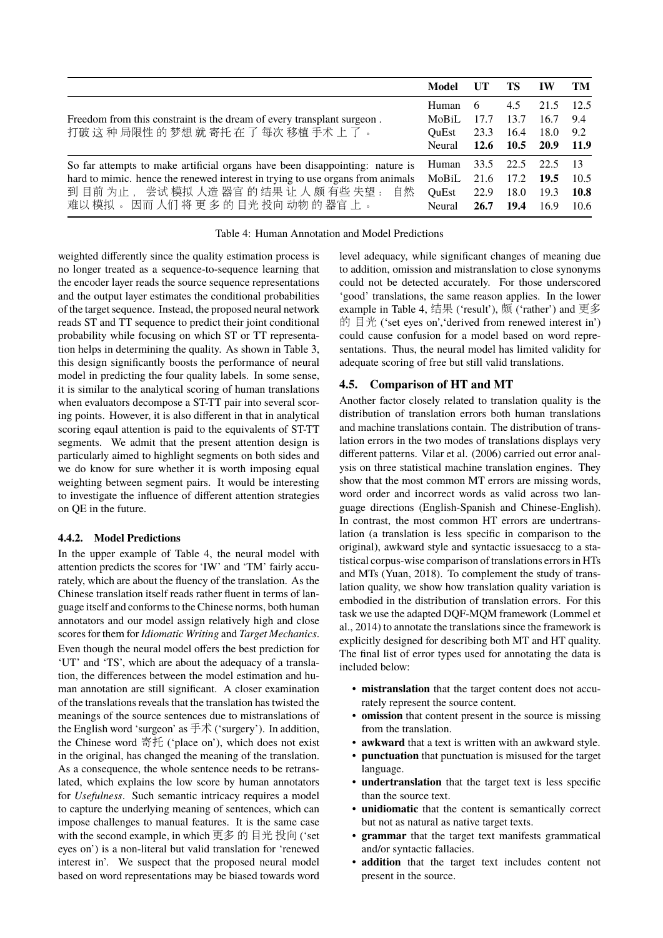|                                                                                | Model         |      | TS   | IW   | TM   |
|--------------------------------------------------------------------------------|---------------|------|------|------|------|
|                                                                                | Human         | 6    | 4.5  | 21.5 | 12.5 |
| Freedom from this constraint is the dream of every transplant surgeon.         | MoBiL         | 17.7 | 13.7 | 16.7 | 9.4  |
| 打破这种局限性的梦想就寄托在了每次移植手术上了。                                                       |               | 23.3 | 16.4 | 18.0 | 9.2  |
|                                                                                | Neural        | 12.6 | 10.5 | 20.9 | 11.9 |
| So far attempts to make artificial organs have been disappointing: nature is   |               | 33.5 | 22.5 | 22.5 | -13  |
| hard to mimic. hence the renewed interest in trying to use organs from animals |               | 21.6 | 17.2 | 19.5 | 10.5 |
| 到目前为止, 尝试模拟人造器官的结果让人颇有些失望:<br>自然                                               | OuEst         | 22.9 | 18.0 | 19.3 | 10.8 |
| 难以模拟。因而人们将更多的目光投向动物的器官上。                                                       | <b>Neural</b> | 26.7 | 19.4 | 16.9 | 10.6 |

#### Table 4: Human Annotation and Model Predictions

weighted differently since the quality estimation process is no longer treated as a sequence-to-sequence learning that the encoder layer reads the source sequence representations and the output layer estimates the conditional probabilities of the target sequence. Instead, the proposed neural network reads ST and TT sequence to predict their joint conditional probability while focusing on which ST or TT representation helps in determining the quality. As shown in Table 3, this design significantly boosts the performance of neural model in predicting the four quality labels. In some sense, it is similar to the analytical scoring of human translations when evaluators decompose a ST-TT pair into several scoring points. However, it is also different in that in analytical scoring eqaul attention is paid to the equivalents of ST-TT segments. We admit that the present attention design is particularly aimed to highlight segments on both sides and we do know for sure whether it is worth imposing equal weighting between segment pairs. It would be interesting to investigate the influence of different attention strategies on QE in the future.

#### **4.4.2. Model Predictions**

In the upper example of Table 4, the neural model with attention predicts the scores for 'IW' and 'TM' fairly accurately, which are about the fluency of the translation. As the Chinese translation itself reads rather fluent in terms of language itself and conforms to the Chinese norms, both human annotators and our model assign relatively high and close scores for them for *Idiomatic Writing* and *Target Mechanics*. Even though the neural model offers the best prediction for 'UT' and 'TS', which are about the adequacy of a translation, the differences between the model estimation and human annotation are still significant. A closer examination of the translations reveals that the translation has twisted the meanings of the source sentences due to mistranslations of the English word 'surgeon' as 手<sup>术</sup> ('surgery'). In addition, the Chinese word <sup>寄</sup>托 ('place on'), which does not exist in the original, has changed the meaning of the translation. As a consequence, the whole sentence needs to be retranslated, which explains the low score by human annotators for *Usefulness*. Such semantic intricacy requires a model to capture the underlying meaning of sentences, which can impose challenges to manual features. It is the same case with the second example, in which <sup>更</sup>多 的 目<sup>光</sup> 投<sup>向</sup> ('set eyes on') is a non-literal but valid translation for 'renewed interest in'. We suspect that the proposed neural model based on word representations may be biased towards word level adequacy, while significant changes of meaning due to addition, omission and mistranslation to close synonyms could not be detected accurately. For those underscored 'good' translations, the same reason applies. In the lower example in Table 4, <sup>结</sup><sup>果</sup> ('result'), 颇 ('rather') and <sup>更</sup>多 的 目光 ('set eyes on','derived from renewed interest in') could cause confusion for a model based on word representations. Thus, the neural model has limited validity for adequate scoring of free but still valid translations.

#### **4.5. Comparison of HT and MT**

Another factor closely related to translation quality is the distribution of translation errors both human translations and machine translations contain. The distribution of translation errors in the two modes of translations displays very different patterns. Vilar et al. (2006) carried out error analysis on three statistical machine translation engines. They show that the most common MT errors are missing words, word order and incorrect words as valid across two language directions (English-Spanish and Chinese-English). In contrast, the most common HT errors are undertranslation (a translation is less specific in comparison to the original), awkward style and syntactic issuesaccg to a statistical corpus-wise comparison of translations errors in HTs and MTs (Yuan, 2018). To complement the study of translation quality, we show how translation quality variation is embodied in the distribution of translation errors. For this task we use the adapted DQF-MQM framework (Lommel et al., 2014) to annotate the translations since the framework is explicitly designed for describing both MT and HT quality. The final list of error types used for annotating the data is included below:

- **mistranslation** that the target content does not accurately represent the source content.
- **omission** that content present in the source is missing from the translation.
- **awkward** that a text is written with an awkward style.
- **punctuation** that punctuation is misused for the target language.
- **undertranslation** that the target text is less specific than the source text.
- **unidiomatic** that the content is semantically correct but not as natural as native target texts.
- **grammar** that the target text manifests grammatical and/or syntactic fallacies.
- **addition** that the target text includes content not present in the source.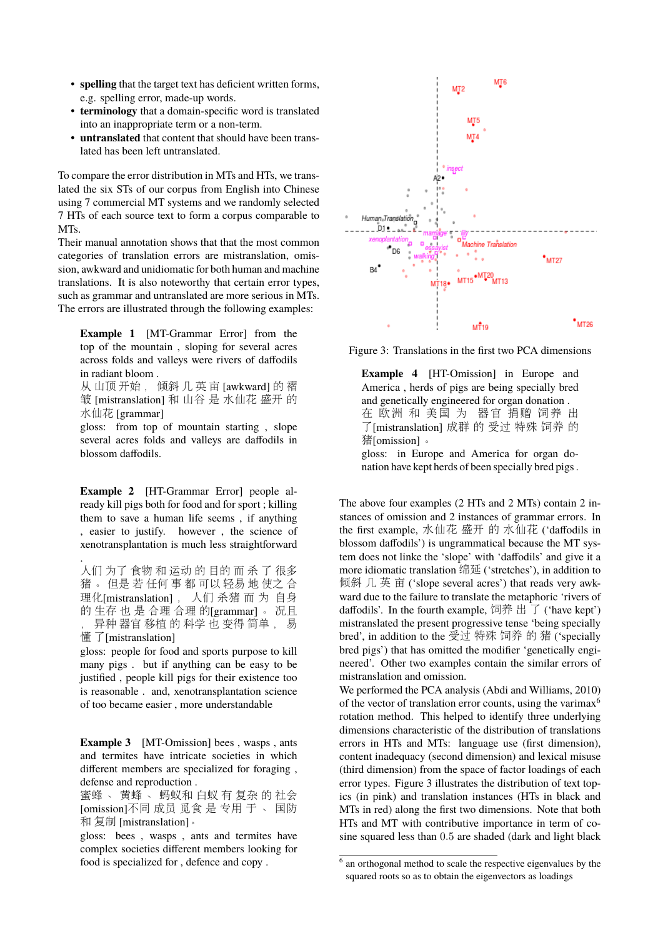- **spelling** that the target text has deficient written forms, e.g. spelling error, made-up words.
- **terminology** that a domain-specific word is translated into an inappropriate term or a non-term.
- **untranslated** that content that should have been translated has been left untranslated.

To compare the error distribution in MTs and HTs, we translated the six STs of our corpus from English into Chinese using 7 commercial MT systems and we randomly selected 7 HTs of each source text to form a corpus comparable to MTs.

Their manual annotation shows that that the most common categories of translation errors are mistranslation, omission, awkward and unidiomatic for both human and machine translations. It is also noteworthy that certain error types, such as grammar and untranslated are more serious in MTs. The errors are illustrated through the following examples:

**Example 1** [MT-Grammar Error] from the top of the mountain , sloping for several acres across folds and valleys were rivers of daffodils in radiant bloom .

<sup>从</sup> 山顶 开始 , <sup>倾</sup><sup>斜</sup> <sup>几</sup> <sup>英</sup> <sup>亩</sup> [awkward] <sup>的</sup> <sup>褶</sup> <sup>皱</sup> [mistranslation] <sup>和</sup> 山谷 <sup>是</sup> <sup>水</sup>仙<sup>花</sup> <sup>盛</sup>开 <sup>的</sup> 水仙花 [grammar]

gloss: from top of mountain starting , slope several acres folds and valleys are daffodils in blossom daffodils.

**Example 2** [HT-Grammar Error] people already kill pigs both for food and for sport ; killing them to save a human life seems , if anything , easier to justify. however , the science of xenotransplantation is much less straightforward

. 人们 为了 食物 <sup>和</sup> <sup>运</sup><sup>动</sup> 的 目的 <sup>而</sup> <sup>杀</sup> <sup>了</sup> 很多 猪 。 但是 若 任何 事 都 可以 轻易 地 使之 合 <sup>理</sup>化[mistranslation] , 人们 <sup>杀</sup><sup>猪</sup> <sup>而</sup> <sup>为</sup> 自<sup>身</sup> <sup>的</sup> 生<sup>存</sup> <sup>也</sup> <sup>是</sup> <sup>合</sup><sup>理</sup> <sup>合</sup><sup>理</sup> <sup>的</sup>[grammar] 。 <sup>况</sup><sup>且</sup> , 异<sup>种</sup> <sup>器</sup><sup>官</sup> <sup>移</sup>植 <sup>的</sup> <sup>科</sup><sup>学</sup> <sup>也</sup> <sup>变</sup>得 简<sup>单</sup> , <sup>易</sup>

懂 了[mistranslation]

gloss: people for food and sports purpose to kill many pigs . but if anything can be easy to be justified , people kill pigs for their existence too is reasonable . and, xenotransplantation science of too became easier , more understandable

**Example 3** [MT-Omission] bees , wasps , ants and termites have intricate societies in which different members are specialized for foraging , defense and reproduction .

蜜蜂 、 <sup>黄</sup><sup>蜂</sup> 、 蚂蚁<sup>和</sup> <sup>白</sup>蚁 <sup>有</sup> 复<sup>杂</sup> <sup>的</sup> <sup>社</sup><sup>会</sup> [omission]不<sup>同</sup> 成<sup>员</sup> <sup>觅</sup>食 <sup>是</sup> <sup>专</sup>用 <sup>于</sup> 、 <sup>国</sup><sup>防</sup> <sup>和</sup> 复<sup>制</sup> [mistranslation]。

gloss: bees , wasps , ants and termites have complex societies different members looking for food is specialized for , defence and copy .



Figure 3: Translations in the first two PCA dimensions

**Example 4** [HT-Omission] in Europe and America , herds of pigs are being specially bred and genetically engineered for organ donation . <sup>在</sup> 欧<sup>洲</sup> <sup>和</sup> <sup>美</sup><sup>国</sup> <sup>为</sup> <sup>器</sup><sup>官</sup> <sup>捐</sup><sup>赠</sup> <sup>饲</sup>养 出 <sup>了</sup>[mistranslation] 成<sup>群</sup> <sup>的</sup> <sup>受</sup><sup>过</sup> 特殊 <sup>饲</sup><sup>养</sup> <sup>的</sup> 猪[omission] 。

gloss: in Europe and America for organ donation have kept herds of been specially bred pigs .

The above four examples (2 HTs and 2 MTs) contain 2 instances of omission and 2 instances of grammar errors. In the first example, <sup>水</sup>仙<sup>花</sup> <sup>盛</sup>开 <sup>的</sup> <sup>水</sup>仙<sup>花</sup> ('daffodils in blossom daffodils') is ungrammatical because the MT system does not linke the 'slope' with 'daffodils' and give it a more idiomatic translation 绵延 ('stretches'), in addition to 倾斜 几 英 亩 ('slope several acres') that reads very awkward due to the failure to translate the metaphoric 'rivers of daffodils'. In the fourth example,  $\overline{m}$   $\overline{r}$   $\overline{r}$  ('have kept') mistranslated the present progressive tense 'being specially bred', in addition to the <sup>受</sup><sup>过</sup> 特殊 <sup>饲</sup><sup>养</sup> <sup>的</sup> <sup>猪</sup> ('specially bred pigs') that has omitted the modifier 'genetically engineered'. Other two examples contain the similar errors of mistranslation and omission.

We performed the PCA analysis (Abdi and Williams, 2010) of the vector of translation error counts, using the varimax<sup>6</sup> rotation method. This helped to identify three underlying dimensions characteristic of the distribution of translations errors in HTs and MTs: language use (first dimension), content inadequacy (second dimension) and lexical misuse (third dimension) from the space of factor loadings of each error types. Figure 3 illustrates the distribution of text topics (in pink) and translation instances (HTs in black and MTs in red) along the first two dimensions. Note that both HTs and MT with contributive importance in term of cosine squared less than 0.5 are shaded (dark and light black

<sup>&</sup>lt;sup>6</sup> an orthogonal method to scale the respective eigenvalues by the squared roots so as to obtain the eigenvectors as loadings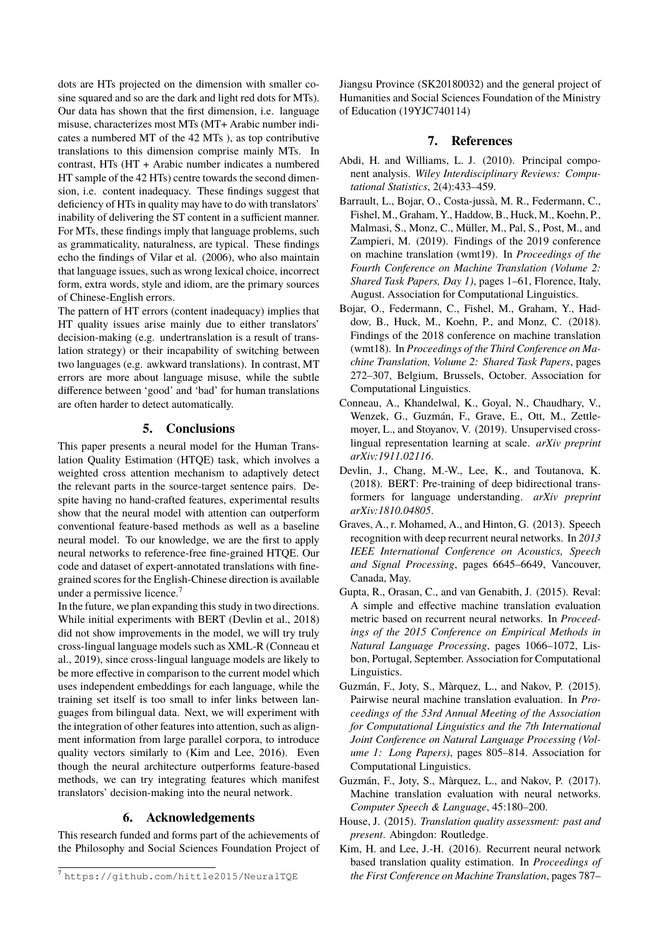dots are HTs projected on the dimension with smaller cosine squared and so are the dark and light red dots for MTs). Our data has shown that the first dimension, i.e. language misuse, characterizes most MTs (MT+ Arabic number indicates a numbered MT of the 42 MTs ), as top contributive translations to this dimension comprise mainly MTs. In contrast, HTs (HT + Arabic number indicates a numbered HT sample of the 42 HTs) centre towards the second dimension, i.e. content inadequacy. These findings suggest that deficiency of HTs in quality may have to do with translators' inability of delivering the ST content in a sufficient manner. For MTs, these findings imply that language problems, such as grammaticality, naturalness, are typical. These findings echo the findings of Vilar et al. (2006), who also maintain that language issues, such as wrong lexical choice, incorrect form, extra words, style and idiom, are the primary sources of Chinese-English errors.

The pattern of HT errors (content inadequacy) implies that HT quality issues arise mainly due to either translators' decision-making (e.g. undertranslation is a result of translation strategy) or their incapability of switching between two languages (e.g. awkward translations). In contrast, MT errors are more about language misuse, while the subtle difference between 'good' and 'bad' for human translations are often harder to detect automatically.

# **5. Conclusions**

This paper presents a neural model for the Human Translation Quality Estimation (HTQE) task, which involves a weighted cross attention mechanism to adaptively detect the relevant parts in the source-target sentence pairs. Despite having no hand-crafted features, experimental results show that the neural model with attention can outperform conventional feature-based methods as well as a baseline neural model. To our knowledge, we are the first to apply neural networks to reference-free fine-grained HTQE. Our code and dataset of expert-annotated translations with finegrained scores for the English-Chinese direction is available under a permissive licence.<sup>7</sup>

In the future, we plan expanding this study in two directions. While initial experiments with BERT (Devlin et al., 2018) did not show improvements in the model, we will try truly cross-lingual language models such as XML-R (Conneau et al., 2019), since cross-lingual language models are likely to be more effective in comparison to the current model which uses independent embeddings for each language, while the training set itself is too small to infer links between languages from bilingual data. Next, we will experiment with the integration of other features into attention, such as alignment information from large parallel corpora, to introduce quality vectors similarly to (Kim and Lee, 2016). Even though the neural architecture outperforms feature-based methods, we can try integrating features which manifest translators' decision-making into the neural network.

# **6. Acknowledgements**

This research funded and forms part of the achievements of the Philosophy and Social Sciences Foundation Project of Jiangsu Province (SK20180032) and the general project of Humanities and Social Sciences Foundation of the Ministry of Education (19YJC740114)

# **7. References**

- Abdi, H. and Williams, L. J. (2010). Principal component analysis. *Wiley Interdisciplinary Reviews: Computational Statistics*, 2(4):433–459.
- Barrault, L., Bojar, O., Costa-jussà, M. R., Federmann, C., Fishel, M., Graham, Y., Haddow, B., Huck, M., Koehn, P., Malmasi, S., Monz, C., Müller, M., Pal, S., Post, M., and Zampieri, M. (2019). Findings of the 2019 conference on machine translation (wmt19). In *Proceedings of the Fourth Conference on Machine Translation (Volume 2: Shared Task Papers, Day 1)*, pages 1–61, Florence, Italy, August. Association for Computational Linguistics.
- Bojar, O., Federmann, C., Fishel, M., Graham, Y., Haddow, B., Huck, M., Koehn, P., and Monz, C. (2018). Findings of the 2018 conference on machine translation (wmt18). In *Proceedings of the Third Conference on Machine Translation, Volume 2: Shared Task Papers*, pages 272–307, Belgium, Brussels, October. Association for Computational Linguistics.
- Conneau, A., Khandelwal, K., Goyal, N., Chaudhary, V., Wenzek, G., Guzmán, F., Grave, E., Ott, M., Zettlemoyer, L., and Stoyanov, V. (2019). Unsupervised crosslingual representation learning at scale. *arXiv preprint arXiv:1911.02116*.
- Devlin, J., Chang, M.-W., Lee, K., and Toutanova, K. (2018). BERT: Pre-training of deep bidirectional transformers for language understanding. *arXiv preprint arXiv:1810.04805*.
- Graves, A., r. Mohamed, A., and Hinton, G. (2013). Speech recognition with deep recurrent neural networks. In *2013 IEEE International Conference on Acoustics, Speech and Signal Processing*, pages 6645–6649, Vancouver, Canada, May.
- Gupta, R., Orasan, C., and van Genabith, J. (2015). Reval: A simple and effective machine translation evaluation metric based on recurrent neural networks. In *Proceedings of the 2015 Conference on Empirical Methods in Natural Language Processing*, pages 1066–1072, Lisbon, Portugal, September. Association for Computational Linguistics.
- Guzmán, F., Joty, S., Màrquez, L., and Nakov, P. (2015). Pairwise neural machine translation evaluation. In *Proceedings of the 53rd Annual Meeting of the Association for Computational Linguistics and the 7th International Joint Conference on Natural Language Processing (Volume 1: Long Papers)*, pages 805–814. Association for Computational Linguistics.
- Guzmán, F., Joty, S., Màrquez, L., and Nakov, P. (2017). Machine translation evaluation with neural networks. *Computer Speech & Language*, 45:180–200.
- House, J. (2015). *Translation quality assessment: past and present*. Abingdon: Routledge.
- Kim, H. and Lee, J.-H. (2016). Recurrent neural network based translation quality estimation. In *Proceedings of the First Conference on Machine Translation*, pages 787–

<sup>7</sup> https://github.com/hittle2015/NeuralTQE